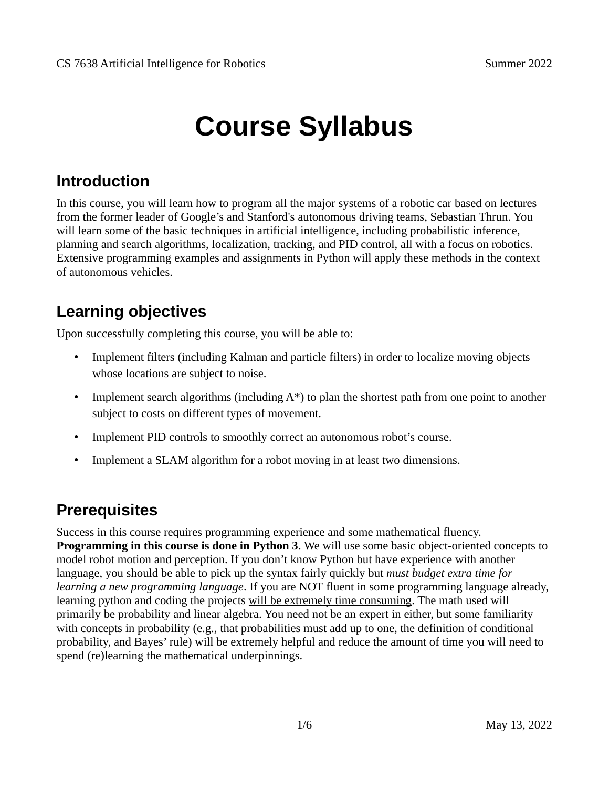# **Course Syllabus**

## **Introduction**

In this course, you will learn how to program all the major systems of a robotic car based on lectures from the former leader of Google's and Stanford's autonomous driving teams, Sebastian Thrun. You will learn some of the basic techniques in artificial intelligence, including probabilistic inference, planning and search algorithms, localization, tracking, and PID control, all with a focus on robotics. Extensive programming examples and assignments in Python will apply these methods in the context of autonomous vehicles.

## **Learning objectives**

Upon successfully completing this course, you will be able to:

- Implement filters (including Kalman and particle filters) in order to localize moving objects whose locations are subject to noise.
- Implement search algorithms (including  $A^*$ ) to plan the shortest path from one point to another subject to costs on different types of movement.
- Implement PID controls to smoothly correct an autonomous robot's course.
- Implement a SLAM algorithm for a robot moving in at least two dimensions.

## **Prerequisites**

Success in this course requires programming experience and some mathematical fluency. **Programming in this course is done in Python 3**. We will use some basic object-oriented concepts to model robot motion and perception. If you don't know Python but have experience with another language, you should be able to pick up the syntax fairly quickly but *must budget extra time for learning a new programming language*. If you are NOT fluent in some programming language already, learning python and coding the projects will be extremely time consuming. The math used will primarily be probability and linear algebra. You need not be an expert in either, but some familiarity with concepts in probability (e.g., that probabilities must add up to one, the definition of conditional probability, and Bayes' rule) will be extremely helpful and reduce the amount of time you will need to spend (re)learning the mathematical underpinnings.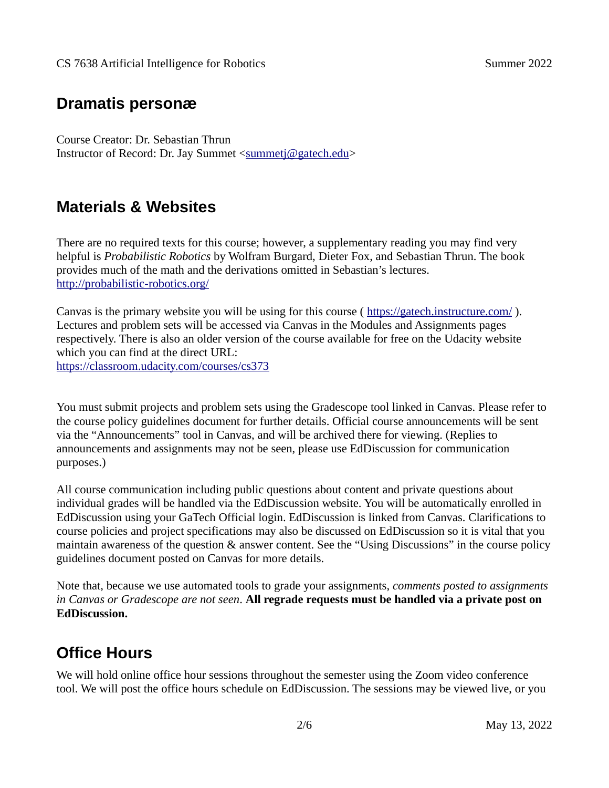#### **Dramatis personæ**

Course Creator: Dr. Sebastian Thrun Instructor of Record: Dr. Jay Summet [<summetj@gatech.edu](mailto:summetj@gatech.edu)>

#### **Materials & Websites**

There are no required texts for this course; however, a supplementary reading you may find very helpful is *Probabilistic Robotics* by Wolfram Burgard, Dieter Fox, and Sebastian Thrun. The book provides much of the math and the derivations omitted in Sebastian's lectures. <http://probabilistic-robotics.org/>

Canvas is the primary website you will be using for this course ( <https://gatech.instructure.com/> ). Lectures and problem sets will be accessed via Canvas in the Modules and Assignments pages respectively. There is also an older version of the course available for free on the Udacity website which you can find at the direct URL: <https://classroom.udacity.com/courses/cs373>

You must submit projects and problem sets using the Gradescope tool linked in Canvas. Please refer to the course policy guidelines document for further details. Official course announcements will be sent via the "Announcements" tool in Canvas, and will be archived there for viewing. (Replies to announcements and assignments may not be seen, please use EdDiscussion for communication purposes.)

All course communication including public questions about content and private questions about individual grades will be handled via the EdDiscussion website. You will be automatically enrolled in EdDiscussion using your GaTech Official login. EdDiscussion is linked from Canvas. Clarifications to course policies and project specifications may also be discussed on EdDiscussion so it is vital that you maintain awareness of the question & answer content. See the "Using Discussions" in the course policy guidelines document posted on Canvas for more details.

Note that, because we use automated tools to grade your assignments, *comments posted to assignments in Canvas or Gradescope are not seen*. **All regrade requests must be handled via a private post on EdDiscussion.** 

## **Office Hours**

We will hold online office hour sessions throughout the semester using the Zoom video conference tool. We will post the office hours schedule on EdDiscussion. The sessions may be viewed live, or you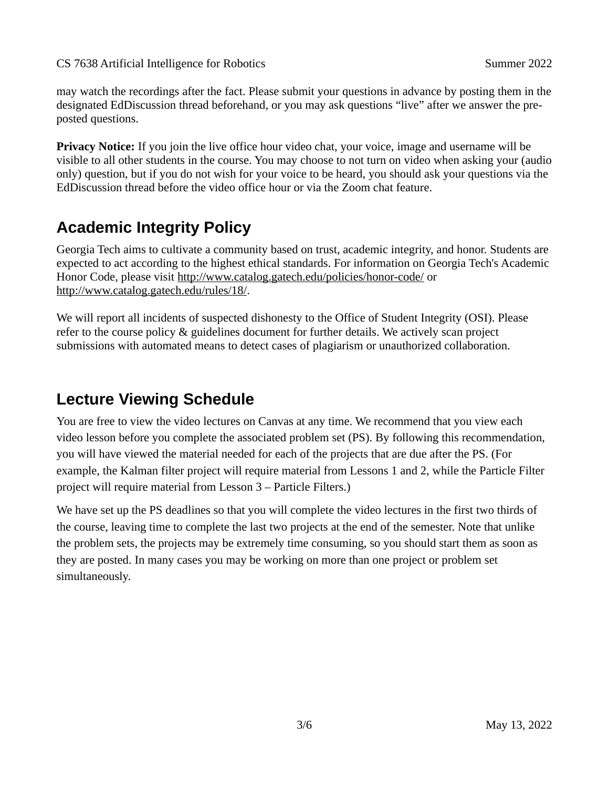CS 7638 Artificial Intelligence for Robotics Summer 2022

may watch the recordings after the fact. Please submit your questions in advance by posting them in the designated EdDiscussion thread beforehand, or you may ask questions "live" after we answer the preposted questions.

**Privacy Notice:** If you join the live office hour video chat, your voice, image and username will be visible to all other students in the course. You may choose to not turn on video when asking your (audio only) question, but if you do not wish for your voice to be heard, you should ask your questions via the EdDiscussion thread before the video office hour or via the Zoom chat feature.

# **Academic Integrity Policy**

Georgia Tech aims to cultivate a community based on trust, academic integrity, and honor. Students are expected to act according to the highest ethical standards. For information on Georgia Tech's Academic Honor Code, please visit<http://www.catalog.gatech.edu/policies/honor-code/> or <http://www.catalog.gatech.edu/rules/18/>.

We will report all incidents of suspected dishonesty to the Office of Student Integrity (OSI). Please refer to the course policy & guidelines document for further details. We actively scan project submissions with automated means to detect cases of plagiarism or unauthorized collaboration.

## **Lecture Viewing Schedule**

You are free to view the video lectures on Canvas at any time. We recommend that you view each video lesson before you complete the associated problem set (PS). By following this recommendation, you will have viewed the material needed for each of the projects that are due after the PS. (For example, the Kalman filter project will require material from Lessons 1 and 2, while the Particle Filter project will require material from Lesson 3 – Particle Filters.)

We have set up the PS deadlines so that you will complete the video lectures in the first two thirds of the course, leaving time to complete the last two projects at the end of the semester. Note that unlike the problem sets, the projects may be extremely time consuming, so you should start them as soon as they are posted. In many cases you may be working on more than one project or problem set simultaneously.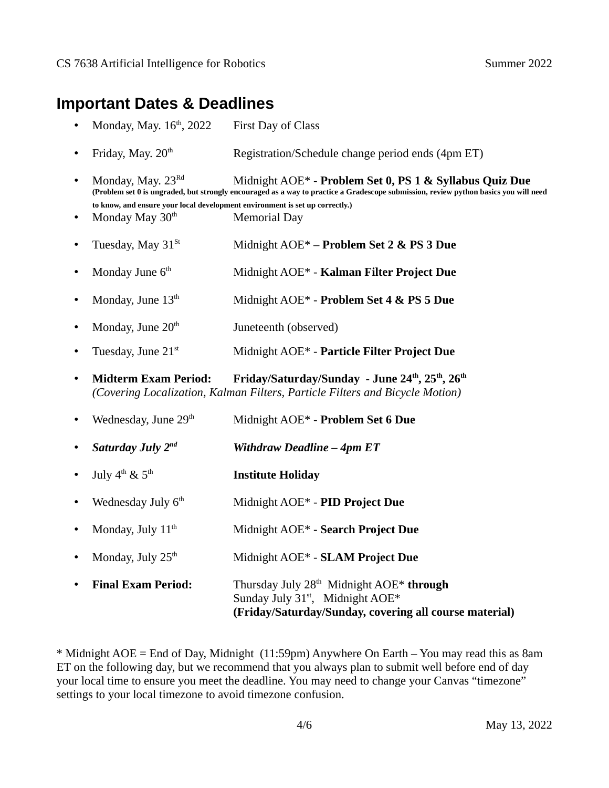#### **Important Dates & Deadlines**

- Monday, May. 16<sup>th</sup>, 2022 First Day of Class
- Friday, May.  $20<sup>th</sup>$ Registration/Schedule change period ends (4pm ET)
- Monday, May. 23Rd Midnight AOE\* **Problem Set 0, PS 1 & Syllabus Quiz Due (Problem set 0 is ungraded, but strongly encouraged as a way to practice a Gradescope submission, review python basics you will need to know, and ensure your local development environment is set up correctly.)**
- Monday May  $30<sup>th</sup>$  Memorial Day
- Tuesday, May 31<sup>St</sup> Midnight AOE\* **Problem Set 2 & PS 3 Due**
- Monday June 6th Midnight AOE\* **Kalman Filter Project Due**
- Monday, June 13<sup>th</sup> Midnight AOE\* - **Problem Set 4 & PS 5 Due**
- Monday, June  $20<sup>th</sup>$  Juneteenth (observed)
- Tuesday, June 21st Midnight AOE\* - **Particle Filter Project Due**
- **Midterm Exam Period: Friday/Saturday/Sunday June 24th, 25th, 26th** *(Covering Localization, Kalman Filters, Particle Filters and Bicycle Motion)*
- Wednesday, June 29<sup>th</sup> Midnight AOE\* **Problem Set 6 Due** • *Saturday July 2nd Withdraw Deadline – 4pm ET* July  $4^{\text{th}}$  &  $5^{\text{th}}$  **Institute Holiday** Wednesday July 6<sup>th</sup> Midnight AOE\* *-* **PID Project Due** Monday, July  $11<sup>th</sup>$  Midnight AOE\* **- Search Project Due** Monday, July 25<sup>th</sup> Midnight AOE\* - **SLAM Project Due Final Exam Period:** Thursday July 28<sup>th</sup> Midnight AOE\* **through** 
	- Sunday July 31<sup>st</sup>, Midnight AOE<sup>\*</sup> **(Friday/Saturday/Sunday, covering all course material)**

\* Midnight AOE = End of Day, Midnight (11:59pm) Anywhere On Earth – You may read this as 8am ET on the following day, but we recommend that you always plan to submit well before end of day your local time to ensure you meet the deadline. You may need to change your Canvas "timezone" settings to your local timezone to avoid timezone confusion.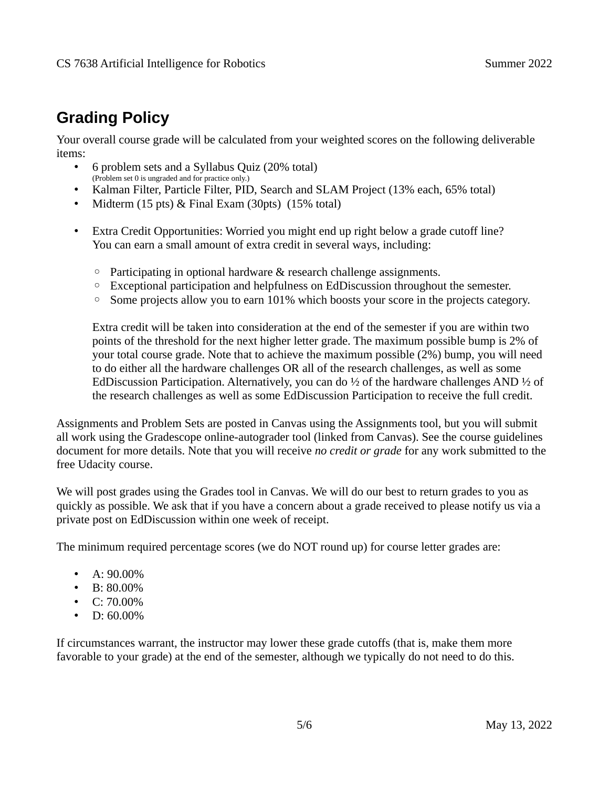# **Grading Policy**

Your overall course grade will be calculated from your weighted scores on the following deliverable items:

- 6 problem sets and a Syllabus Quiz (20% total) (Problem set 0 is ungraded and for practice only.)
- Kalman Filter, Particle Filter, PID, Search and SLAM Project (13% each, 65% total)
- Midterm (15 pts) & Final Exam (30pts) (15% total)
- Extra Credit Opportunities: Worried you might end up right below a grade cutoff line? You can earn a small amount of extra credit in several ways, including:
	- Participating in optional hardware & research challenge assignments.
	- Exceptional participation and helpfulness on EdDiscussion throughout the semester.
	- Some projects allow you to earn 101% which boosts your score in the projects category.

Extra credit will be taken into consideration at the end of the semester if you are within two points of the threshold for the next higher letter grade. The maximum possible bump is 2% of your total course grade. Note that to achieve the maximum possible (2%) bump, you will need to do either all the hardware challenges OR all of the research challenges, as well as some EdDiscussion Participation. Alternatively, you can do ½ of the hardware challenges AND ½ of the research challenges as well as some EdDiscussion Participation to receive the full credit.

Assignments and Problem Sets are posted in Canvas using the Assignments tool, but you will submit all work using the Gradescope online-autograder tool (linked from Canvas). See the course guidelines document for more details. Note that you will receive *no credit or grade* for any work submitted to the free Udacity course.

We will post grades using the Grades tool in Canvas. We will do our best to return grades to you as quickly as possible. We ask that if you have a concern about a grade received to please notify us via a private post on EdDiscussion within one week of receipt.

The minimum required percentage scores (we do NOT round up) for course letter grades are:

- A:  $90.00\%$
- B:  $80.00\%$
- $C: 70.00\%$
- D:  $60.00\%$

If circumstances warrant, the instructor may lower these grade cutoffs (that is, make them more favorable to your grade) at the end of the semester, although we typically do not need to do this.